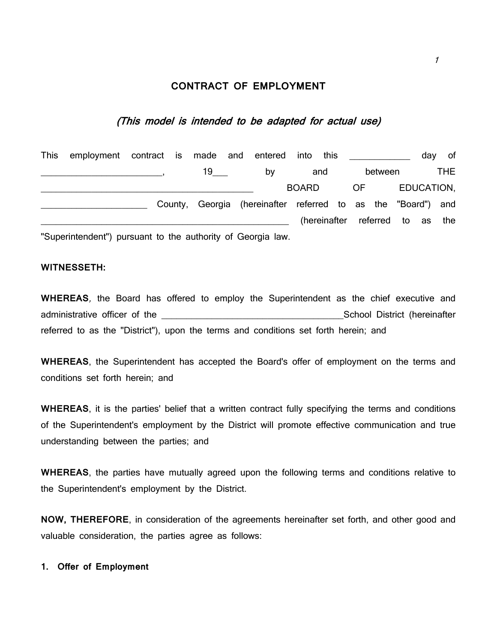# **CONTRACT OF EMPLOYMENT**

# (This model is intended to be adapted for actual use)

| This employment contract is made and entered                |  |  |      |                                                              | into                        | this |         |  |  | day | of         |
|-------------------------------------------------------------|--|--|------|--------------------------------------------------------------|-----------------------------|------|---------|--|--|-----|------------|
|                                                             |  |  | 19 — | b٧                                                           |                             | and  | between |  |  |     | THE.       |
|                                                             |  |  |      |                                                              | <b>BOARD</b>                |      | OF.     |  |  |     | EDUCATION, |
|                                                             |  |  |      | County, Georgia (hereinafter referred to as the "Board") and |                             |      |         |  |  |     |            |
|                                                             |  |  |      |                                                              | (hereinafter referred to as |      |         |  |  |     | the        |
| "Superintendent") pursuant to the authority of Georgia law. |  |  |      |                                                              |                             |      |         |  |  |     |            |

# **WITNESSETH:**

**WHEREAS**, the Board has offered to employ the Superintendent as the chief executive and administrative officer of the entity of the state of the state of the state of the state of the state of the state of the state of the state of the state of the state of the state of the state of the state of the state of referred to as the "District"), upon the terms and conditions set forth herein; and

**WHEREAS**, the Superintendent has accepted the Board's offer of employment on the terms and conditions set forth herein; and

**WHEREAS**, it is the parties' belief that a written contract fully specifying the terms and conditions of the Superintendent's employment by the District will promote effective communication and true understanding between the parties; and

**WHEREAS**, the parties have mutually agreed upon the following terms and conditions relative to the Superintendent's employment by the District.

**NOW, THEREFORE**, in consideration of the agreements hereinafter set forth, and other good and valuable consideration, the parties agree as follows:

## **1. Offer of Employment**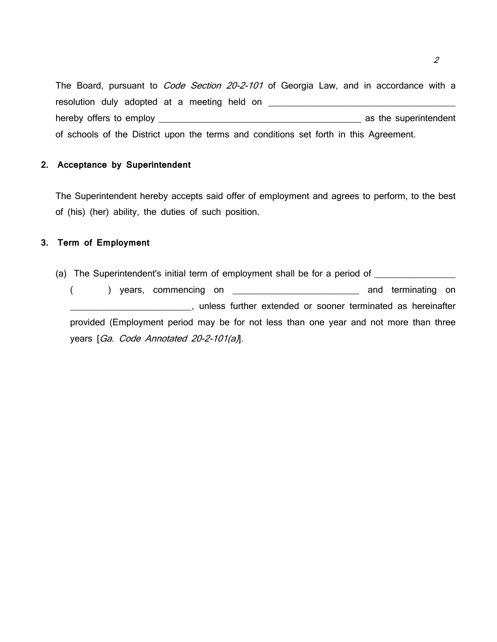The Board, pursuant to Code Section 20-2-101 of Georgia Law, and in accordance with a resolution duly adopted at a meeting held on \_\_\_\_\_\_\_\_\_\_\_\_\_\_\_\_\_\_\_\_\_\_\_\_\_\_\_\_\_\_\_\_\_\_\_\_\_ hereby offers to employ \_\_\_\_\_\_\_\_\_\_\_\_\_\_\_\_\_\_\_\_\_\_\_\_\_\_\_\_\_\_\_\_\_\_\_\_\_\_\_\_ as the superintendent of schools of the District upon the terms and conditions set forth in this Agreement.

# **2. Acceptance by Superintendent**

The Superintendent hereby accepts said offer of employment and agrees to perform, to the best of (his) (her) ability, the duties of such position.

# **3. Term of Employment**

(a) The Superintendent's initial term of employment shall be for a period of \_\_\_\_\_\_\_\_\_\_\_\_\_\_\_\_\_\_\_\_\_\_\_ ( ) years, commencing on \_\_\_\_\_\_\_\_\_\_\_\_\_\_\_\_\_\_\_\_\_\_\_\_\_\_\_\_\_\_\_\_\_ and terminating on \_\_\_\_\_\_\_\_\_\_\_\_\_\_\_\_\_\_\_\_\_\_\_\_, unless further extended or sooner terminated as hereinafter provided (Employment period may be for not less than one year and not more than three years [Ga. Code Annotated 20-2-101(a)].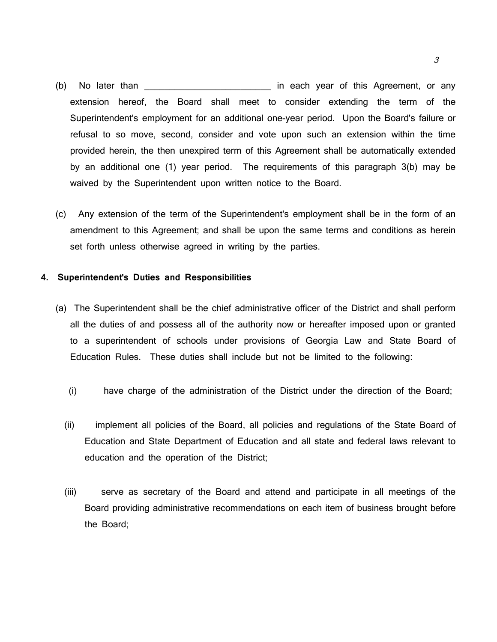- (b) No later than the same of this Agreement, or any of this Agreement, or any extension hereof, the Board shall meet to consider extending the term of the Superintendent's employment for an additional one-year period. Upon the Board's failure or refusal to so move, second, consider and vote upon such an extension within the time provided herein, the then unexpired term of this Agreement shall be automatically extended by an additional one (1) year period. The requirements of this paragraph 3(b) may be waived by the Superintendent upon written notice to the Board.
- (c) Any extension of the term of the Superintendent's employment shall be in the form of an amendment to this Agreement; and shall be upon the same terms and conditions as herein set forth unless otherwise agreed in writing by the parties.

## **4. Superintendent's Duties and Responsibilities**

- (a) The Superintendent shall be the chief administrative officer of the District and shall perform all the duties of and possess all of the authority now or hereafter imposed upon or granted to a superintendent of schools under provisions of Georgia Law and State Board of Education Rules. These duties shall include but not be limited to the following:
	- (i) have charge of the administration of the District under the direction of the Board;
	- (ii) implement all policies of the Board, all policies and regulations of the State Board of Education and State Department of Education and all state and federal laws relevant to education and the operation of the District;
	- (iii) serve as secretary of the Board and attend and participate in all meetings of the Board providing administrative recommendations on each item of business brought before the Board;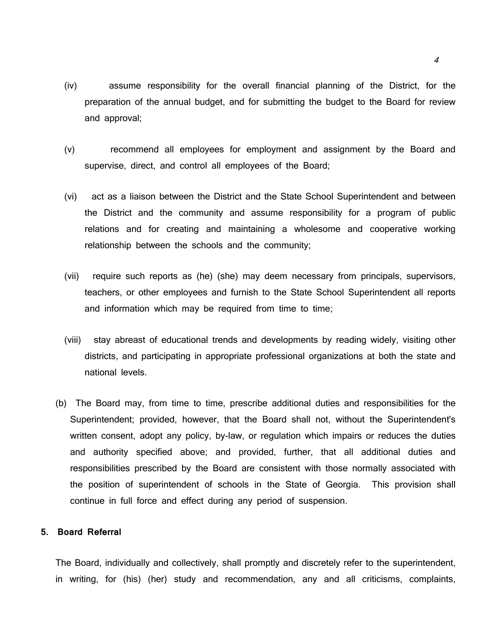- (iv) assume responsibility for the overall financial planning of the District, for the preparation of the annual budget, and for submitting the budget to the Board for review and approval;
- (v) recommend all employees for employment and assignment by the Board and supervise, direct, and control all employees of the Board;
- (vi) act as a liaison between the District and the State School Superintendent and between the District and the community and assume responsibility for a program of public relations and for creating and maintaining a wholesome and cooperative working relationship between the schools and the community;
- (vii) require such reports as (he) (she) may deem necessary from principals, supervisors, teachers, or other employees and furnish to the State School Superintendent all reports and information which may be required from time to time;
- (viii) stay abreast of educational trends and developments by reading widely, visiting other districts, and participating in appropriate professional organizations at both the state and national levels.
- (b) The Board may, from time to time, prescribe additional duties and responsibilities for the Superintendent; provided, however, that the Board shall not, without the Superintendent's written consent, adopt any policy, by-law, or regulation which impairs or reduces the duties and authority specified above; and provided, further, that all additional duties and responsibilities prescribed by the Board are consistent with those normally associated with the position of superintendent of schools in the State of Georgia. This provision shall continue in full force and effect during any period of suspension.

# **5. Board Referral**

The Board, individually and collectively, shall promptly and discretely refer to the superintendent, in writing, for (his) (her) study and recommendation, any and all criticisms, complaints,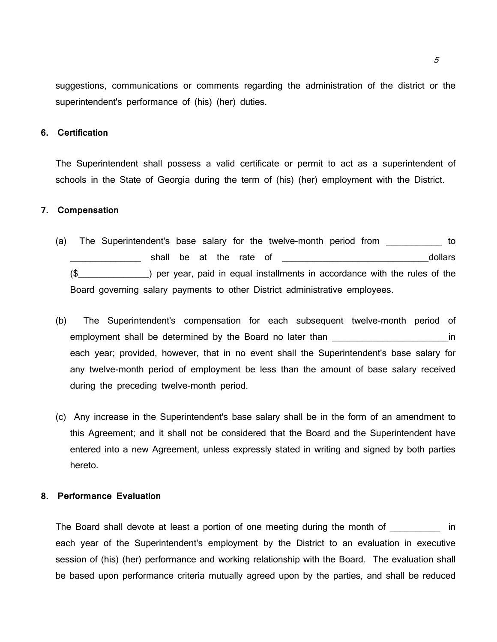suggestions, communications or comments regarding the administration of the district or the superintendent's performance of (his) (her) duties.

# **6. Certification**

The Superintendent shall possess a valid certificate or permit to act as a superintendent of schools in the State of Georgia during the term of (his) (her) employment with the District.

# **7. Compensation**

- (a) The Superintendent's base salary for the twelve-month period from \_\_\_\_\_\_\_\_\_\_\_ to dollars shall be at the rate of the state of the state of the state of the state of the state of the state of the state of the state of the state of the state of the state of the state of the state of the state of the stat (\$\_\_\_\_\_\_\_\_\_\_\_\_\_\_) per year, paid in equal installments in accordance with the rules of the Board governing salary payments to other District administrative employees.
- (b) The Superintendent's compensation for each subsequent twelve-month period of employment shall be determined by the Board no later than **the in** the state of the state of the state of the state of the state of the state of the state of the state of the state of the state of the state of the state of each year; provided, however, that in no event shall the Superintendent's base salary for any twelve-month period of employment be less than the amount of base salary received during the preceding twelve-month period.
- (c) Any increase in the Superintendent's base salary shall be in the form of an amendment to this Agreement; and it shall not be considered that the Board and the Superintendent have entered into a new Agreement, unless expressly stated in writing and signed by both parties hereto.

# **8. Performance Evaluation**

The Board shall devote at least a portion of one meeting during the month of Theorem in each year of the Superintendent's employment by the District to an evaluation in executive session of (his) (her) performance and working relationship with the Board. The evaluation shall be based upon performance criteria mutually agreed upon by the parties, and shall be reduced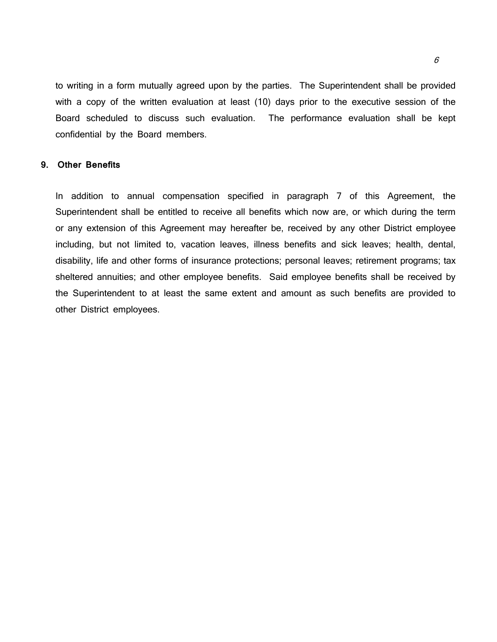to writing in a form mutually agreed upon by the parties. The Superintendent shall be provided with a copy of the written evaluation at least (10) days prior to the executive session of the Board scheduled to discuss such evaluation. The performance evaluation shall be kept confidential by the Board members.

## **9. Other Benefits**

In addition to annual compensation specified in paragraph 7 of this Agreement, the Superintendent shall be entitled to receive all benefits which now are, or which during the term or any extension of this Agreement may hereafter be, received by any other District employee including, but not limited to, vacation leaves, illness benefits and sick leaves; health, dental, disability, life and other forms of insurance protections; personal leaves; retirement programs; tax sheltered annuities; and other employee benefits. Said employee benefits shall be received by the Superintendent to at least the same extent and amount as such benefits are provided to other District employees.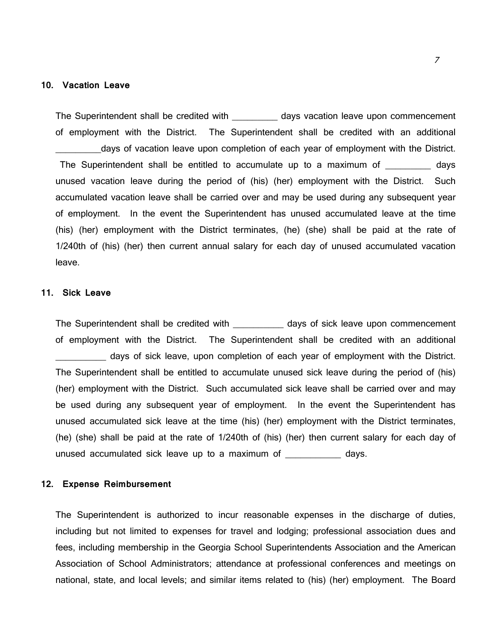#### **10. Vacation Leave**

The Superintendent shall be credited with \_\_\_\_\_\_\_\_\_ days vacation leave upon commencement of employment with the District. The Superintendent shall be credited with an additional days of vacation leave upon completion of each year of employment with the District. The Superintendent shall be entitled to accumulate up to a maximum of days unused vacation leave during the period of (his) (her) employment with the District. Such accumulated vacation leave shall be carried over and may be used during any subsequent year of employment. In the event the Superintendent has unused accumulated leave at the time (his) (her) employment with the District terminates, (he) (she) shall be paid at the rate of 1/240th of (his) (her) then current annual salary for each day of unused accumulated vacation leave.

### **11. Sick Leave**

The Superintendent shall be credited with days of sick leave upon commencement of employment with the District. The Superintendent shall be credited with an additional \_\_\_\_\_\_\_\_\_\_ days of sick leave, upon completion of each year of employment with the District. The Superintendent shall be entitled to accumulate unused sick leave during the period of (his) (her) employment with the District. Such accumulated sick leave shall be carried over and may be used during any subsequent year of employment. In the event the Superintendent has unused accumulated sick leave at the time (his) (her) employment with the District terminates, (he) (she) shall be paid at the rate of 1/240th of (his) (her) then current salary for each day of unused accumulated sick leave up to a maximum of \_\_\_\_\_\_\_\_\_\_\_ days.

# **12. Expense Reimbursement**

The Superintendent is authorized to incur reasonable expenses in the discharge of duties, including but not limited to expenses for travel and lodging; professional association dues and fees, including membership in the Georgia School Superintendents Association and the American Association of School Administrators; attendance at professional conferences and meetings on national, state, and local levels; and similar items related to (his) (her) employment. The Board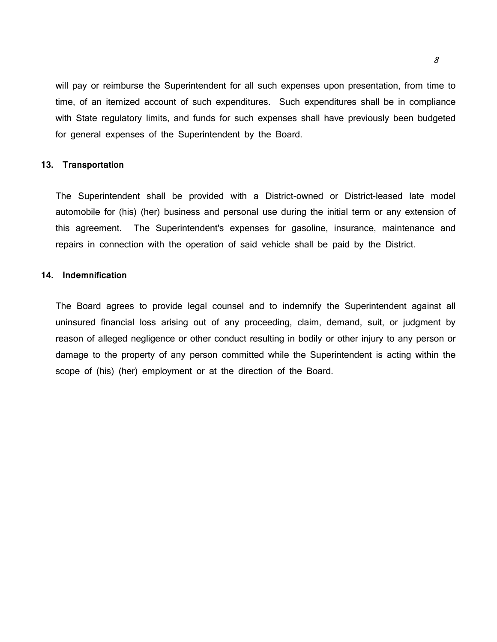will pay or reimburse the Superintendent for all such expenses upon presentation, from time to time, of an itemized account of such expenditures. Such expenditures shall be in compliance with State regulatory limits, and funds for such expenses shall have previously been budgeted for general expenses of the Superintendent by the Board.

## **13. Transportation**

The Superintendent shall be provided with a District-owned or District-leased late model automobile for (his) (her) business and personal use during the initial term or any extension of this agreement. The Superintendent's expenses for gasoline, insurance, maintenance and repairs in connection with the operation of said vehicle shall be paid by the District.

#### **14. Indemnification**

The Board agrees to provide legal counsel and to indemnify the Superintendent against all uninsured financial loss arising out of any proceeding, claim, demand, suit, or judgment by reason of alleged negligence or other conduct resulting in bodily or other injury to any person or damage to the property of any person committed while the Superintendent is acting within the scope of (his) (her) employment or at the direction of the Board.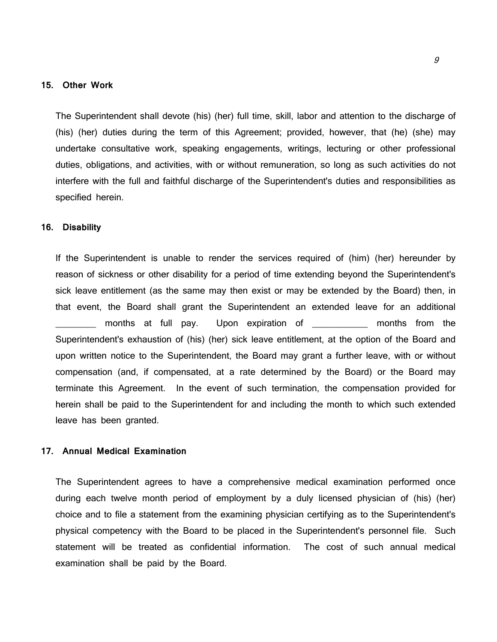# **15. Other Work**

The Superintendent shall devote (his) (her) full time, skill, labor and attention to the discharge of (his) (her) duties during the term of this Agreement; provided, however, that (he) (she) may undertake consultative work, speaking engagements, writings, lecturing or other professional duties, obligations, and activities, with or without remuneration, so long as such activities do not interfere with the full and faithful discharge of the Superintendent's duties and responsibilities as specified herein.

### **16. Disability**

If the Superintendent is unable to render the services required of (him) (her) hereunder by reason of sickness or other disability for a period of time extending beyond the Superintendent's sick leave entitlement (as the same may then exist or may be extended by the Board) then, in that event, the Board shall grant the Superintendent an extended leave for an additional months at full pay. Upon expiration of the months from the Superintendent's exhaustion of (his) (her) sick leave entitlement, at the option of the Board and upon written notice to the Superintendent, the Board may grant a further leave, with or without compensation (and, if compensated, at a rate determined by the Board) or the Board may terminate this Agreement. In the event of such termination, the compensation provided for herein shall be paid to the Superintendent for and including the month to which such extended leave has been granted.

# **17. Annual Medical Examination**

The Superintendent agrees to have a comprehensive medical examination performed once during each twelve month period of employment by a duly licensed physician of (his) (her) choice and to file a statement from the examining physician certifying as to the Superintendent's physical competency with the Board to be placed in the Superintendent's personnel file. Such statement will be treated as confidential information. The cost of such annual medical examination shall be paid by the Board.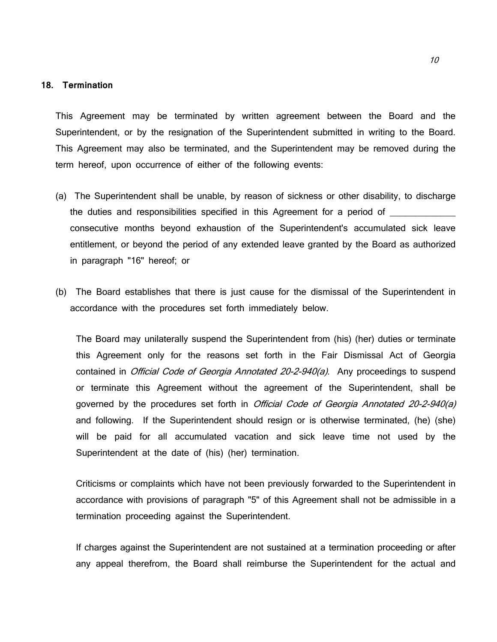#### **18. Termination**

This Agreement may be terminated by written agreement between the Board and the Superintendent, or by the resignation of the Superintendent submitted in writing to the Board. This Agreement may also be terminated, and the Superintendent may be removed during the term hereof, upon occurrence of either of the following events:

- (a) The Superintendent shall be unable, by reason of sickness or other disability, to discharge the duties and responsibilities specified in this Agreement for a period of consecutive months beyond exhaustion of the Superintendent's accumulated sick leave entitlement, or beyond the period of any extended leave granted by the Board as authorized in paragraph "16" hereof; or
- (b) The Board establishes that there is just cause for the dismissal of the Superintendent in accordance with the procedures set forth immediately below.

The Board may unilaterally suspend the Superintendent from (his) (her) duties or terminate this Agreement only for the reasons set forth in the Fair Dismissal Act of Georgia contained in *Official Code of Georgia Annotated 20-2-940(a)*. Any proceedings to suspend or terminate this Agreement without the agreement of the Superintendent, shall be governed by the procedures set forth in *Official Code of Georgia Annotated 20-2-940(a)* and following. If the Superintendent should resign or is otherwise terminated, (he) (she) will be paid for all accumulated vacation and sick leave time not used by the Superintendent at the date of (his) (her) termination.

Criticisms or complaints which have not been previously forwarded to the Superintendent in accordance with provisions of paragraph "5" of this Agreement shall not be admissible in a termination proceeding against the Superintendent.

If charges against the Superintendent are not sustained at a termination proceeding or after any appeal therefrom, the Board shall reimburse the Superintendent for the actual and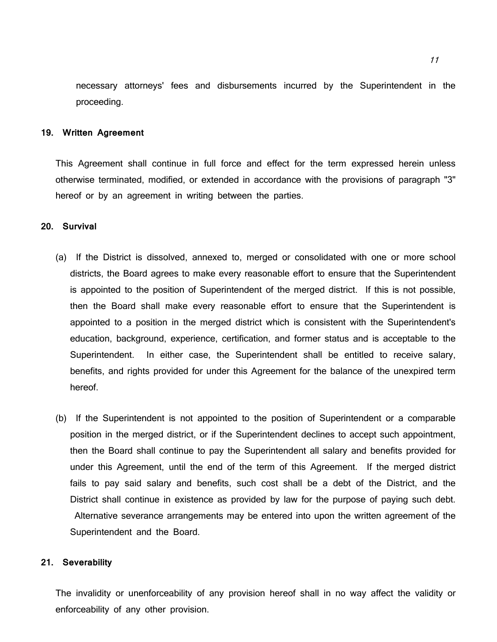necessary attorneys' fees and disbursements incurred by the Superintendent in the proceeding.

#### **19. Written Agreement**

This Agreement shall continue in full force and effect for the term expressed herein unless otherwise terminated, modified, or extended in accordance with the provisions of paragraph "3" hereof or by an agreement in writing between the parties.

### **20. Survival**

- (a) If the District is dissolved, annexed to, merged or consolidated with one or more school districts, the Board agrees to make every reasonable effort to ensure that the Superintendent is appointed to the position of Superintendent of the merged district. If this is not possible, then the Board shall make every reasonable effort to ensure that the Superintendent is appointed to a position in the merged district which is consistent with the Superintendent's education, background, experience, certification, and former status and is acceptable to the Superintendent. In either case, the Superintendent shall be entitled to receive salary, benefits, and rights provided for under this Agreement for the balance of the unexpired term hereof.
- (b) If the Superintendent is not appointed to the position of Superintendent or a comparable position in the merged district, or if the Superintendent declines to accept such appointment, then the Board shall continue to pay the Superintendent all salary and benefits provided for under this Agreement, until the end of the term of this Agreement. If the merged district fails to pay said salary and benefits, such cost shall be a debt of the District, and the District shall continue in existence as provided by law for the purpose of paying such debt. Alternative severance arrangements may be entered into upon the written agreement of the Superintendent and the Board.

### **21. Severability**

The invalidity or unenforceability of any provision hereof shall in no way affect the validity or enforceability of any other provision.